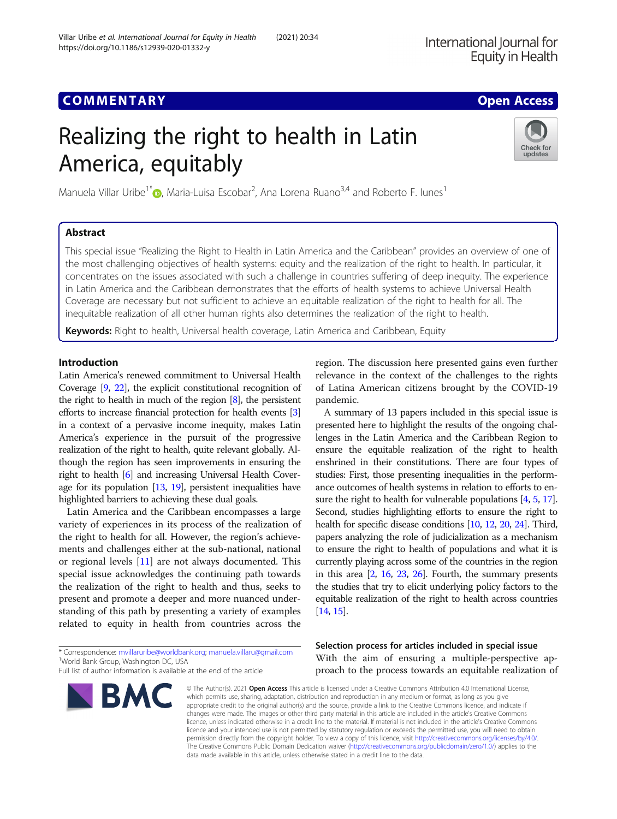# Realizing the right to health in Latin America, equitably

Manuela Villar Uribe<sup>1[\\*](http://orcid.org/0000-0003-3386-4414)</sup> (**p**, Maria-Luisa Escobar<sup>2</sup>, Ana Lorena Ruano<sup>3,4</sup> and Roberto F. lunes<sup>1</sup>

## Abstract

This special issue "Realizing the Right to Health in Latin America and the Caribbean" provides an overview of one of the most challenging objectives of health systems: equity and the realization of the right to health. In particular, it concentrates on the issues associated with such a challenge in countries suffering of deep inequity. The experience in Latin America and the Caribbean demonstrates that the efforts of health systems to achieve Universal Health Coverage are necessary but not sufficient to achieve an equitable realization of the right to health for all. The inequitable realization of all other human rights also determines the realization of the right to health.

Keywords: Right to health, Universal health coverage, Latin America and Caribbean, Equity

## Introduction

Latin America's renewed commitment to Universal Health Coverage [\[9,](#page-5-0) [22\]](#page-5-0), the explicit constitutional recognition of the right to health in much of the region [[8](#page-5-0)], the persistent efforts to increase financial protection for health events [[3](#page-4-0)] in a context of a pervasive income inequity, makes Latin America's experience in the pursuit of the progressive realization of the right to health, quite relevant globally. Although the region has seen improvements in ensuring the right to health [\[6\]](#page-5-0) and increasing Universal Health Coverage for its population [\[13](#page-5-0), [19\]](#page-5-0), persistent inequalities have highlighted barriers to achieving these dual goals.

Latin America and the Caribbean encompasses a large variety of experiences in its process of the realization of the right to health for all. However, the region's achievements and challenges either at the sub-national, national or regional levels [[11\]](#page-5-0) are not always documented. This special issue acknowledges the continuing path towards the realization of the right to health and thus, seeks to present and promote a deeper and more nuanced understanding of this path by presenting a variety of examples related to equity in health from countries across the

\* Correspondence: [mvillaruribe@worldbank.org](mailto:mvillaruribe@worldbank.org); [manuela.villaru@gmail.com](mailto:manuela.villaru@gmail.com) <sup>1</sup> <sup>1</sup>World Bank Group, Washington DC, USA

© The Author(s), 2021 **Open Access** This article is licensed under a Creative Commons Attribution 4.0 International License, which permits use, sharing, adaptation, distribution and reproduction in any medium or format, as long as you give appropriate credit to the original author(s) and the source, provide a link to the Creative Commons licence, and indicate if changes were made. The images or other third party material in this article are included in the article's Creative Commons licence, unless indicated otherwise in a credit line to the material. If material is not included in the article's Creative Commons licence and your intended use is not permitted by statutory regulation or exceeds the permitted use, you will need to obtain

data made available in this article, unless otherwise stated in a credit line to the data.

region. The discussion here presented gains even further relevance in the context of the challenges to the rights of Latina American citizens brought by the COVID-19 pandemic.

A summary of 13 papers included in this special issue is presented here to highlight the results of the ongoing challenges in the Latin America and the Caribbean Region to ensure the equitable realization of the right to health enshrined in their constitutions. There are four types of studies: First, those presenting inequalities in the performance outcomes of health systems in relation to efforts to en-sure the right to health for vulnerable populations [\[4](#page-5-0), [5](#page-5-0), [17](#page-5-0)]. Second, studies highlighting efforts to ensure the right to health for specific disease conditions [\[10](#page-5-0), [12,](#page-5-0) [20,](#page-5-0) [24](#page-5-0)]. Third, papers analyzing the role of judicialization as a mechanism to ensure the right to health of populations and what it is currently playing across some of the countries in the region in this area [\[2,](#page-4-0) [16](#page-5-0), [23,](#page-5-0) [26\]](#page-5-0). Fourth, the summary presents the studies that try to elicit underlying policy factors to the equitable realization of the right to health across countries [[14](#page-5-0), [15](#page-5-0)].

Selection process for articles included in special issue With the aim of ensuring a multiple-perspective approach to the process towards an equitable realization of

permission directly from the copyright holder. To view a copy of this licence, visit [http://creativecommons.org/licenses/by/4.0/.](http://creativecommons.org/licenses/by/4.0/) The Creative Commons Public Domain Dedication waiver [\(http://creativecommons.org/publicdomain/zero/1.0/](http://creativecommons.org/publicdomain/zero/1.0/)) applies to the





Full list of author information is available at the end of the article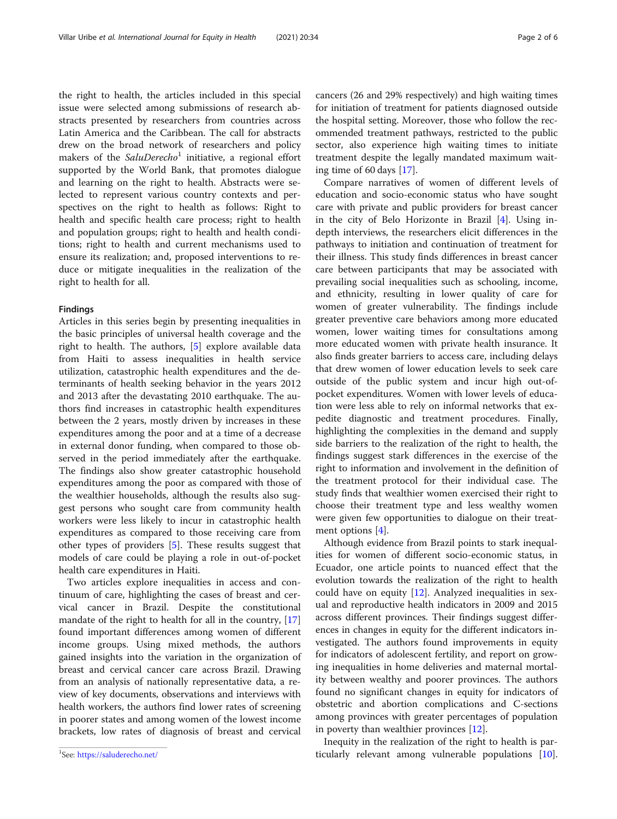the right to health, the articles included in this special issue were selected among submissions of research abstracts presented by researchers from countries across Latin America and the Caribbean. The call for abstracts drew on the broad network of researchers and policy makers of the  $SaluDerecho<sup>1</sup>$  initiative, a regional effort supported by the World Bank, that promotes dialogue and learning on the right to health. Abstracts were selected to represent various country contexts and perspectives on the right to health as follows: Right to health and specific health care process; right to health and population groups; right to health and health conditions; right to health and current mechanisms used to ensure its realization; and, proposed interventions to reduce or mitigate inequalities in the realization of the right to health for all.

## Findings

Articles in this series begin by presenting inequalities in the basic principles of universal health coverage and the right to health. The authors, [[5\]](#page-5-0) explore available data from Haiti to assess inequalities in health service utilization, catastrophic health expenditures and the determinants of health seeking behavior in the years 2012 and 2013 after the devastating 2010 earthquake. The authors find increases in catastrophic health expenditures between the 2 years, mostly driven by increases in these expenditures among the poor and at a time of a decrease in external donor funding, when compared to those observed in the period immediately after the earthquake. The findings also show greater catastrophic household expenditures among the poor as compared with those of the wealthier households, although the results also suggest persons who sought care from community health workers were less likely to incur in catastrophic health expenditures as compared to those receiving care from other types of providers [[5\]](#page-5-0). These results suggest that models of care could be playing a role in out-of-pocket health care expenditures in Haiti.

Two articles explore inequalities in access and continuum of care, highlighting the cases of breast and cervical cancer in Brazil. Despite the constitutional mandate of the right to health for all in the country, [[17](#page-5-0)] found important differences among women of different income groups. Using mixed methods, the authors gained insights into the variation in the organization of breast and cervical cancer care across Brazil. Drawing from an analysis of nationally representative data, a review of key documents, observations and interviews with health workers, the authors find lower rates of screening in poorer states and among women of the lowest income brackets, low rates of diagnosis of breast and cervical cancers (26 and 29% respectively) and high waiting times for initiation of treatment for patients diagnosed outside the hospital setting. Moreover, those who follow the recommended treatment pathways, restricted to the public sector, also experience high waiting times to initiate treatment despite the legally mandated maximum waiting time of 60 days [\[17\]](#page-5-0).

Compare narratives of women of different levels of education and socio-economic status who have sought care with private and public providers for breast cancer in the city of Belo Horizonte in Brazil [[4\]](#page-5-0). Using indepth interviews, the researchers elicit differences in the pathways to initiation and continuation of treatment for their illness. This study finds differences in breast cancer care between participants that may be associated with prevailing social inequalities such as schooling, income, and ethnicity, resulting in lower quality of care for women of greater vulnerability. The findings include greater preventive care behaviors among more educated women, lower waiting times for consultations among more educated women with private health insurance. It also finds greater barriers to access care, including delays that drew women of lower education levels to seek care outside of the public system and incur high out-ofpocket expenditures. Women with lower levels of education were less able to rely on informal networks that expedite diagnostic and treatment procedures. Finally, highlighting the complexities in the demand and supply side barriers to the realization of the right to health, the findings suggest stark differences in the exercise of the right to information and involvement in the definition of the treatment protocol for their individual case. The study finds that wealthier women exercised their right to choose their treatment type and less wealthy women were given few opportunities to dialogue on their treatment options [\[4](#page-5-0)].

Although evidence from Brazil points to stark inequalities for women of different socio-economic status, in Ecuador, one article points to nuanced effect that the evolution towards the realization of the right to health could have on equity [[12\]](#page-5-0). Analyzed inequalities in sexual and reproductive health indicators in 2009 and 2015 across different provinces. Their findings suggest differences in changes in equity for the different indicators investigated. The authors found improvements in equity for indicators of adolescent fertility, and report on growing inequalities in home deliveries and maternal mortality between wealthy and poorer provinces. The authors found no significant changes in equity for indicators of obstetric and abortion complications and C-sections among provinces with greater percentages of population in poverty than wealthier provinces [[12\]](#page-5-0).

Inequity in the realization of the right to health is particularly relevant among vulnerable populations [\[10](#page-5-0)]. <sup>1</sup>

<sup>&</sup>lt;sup>1</sup>See: <https://saluderecho.net/>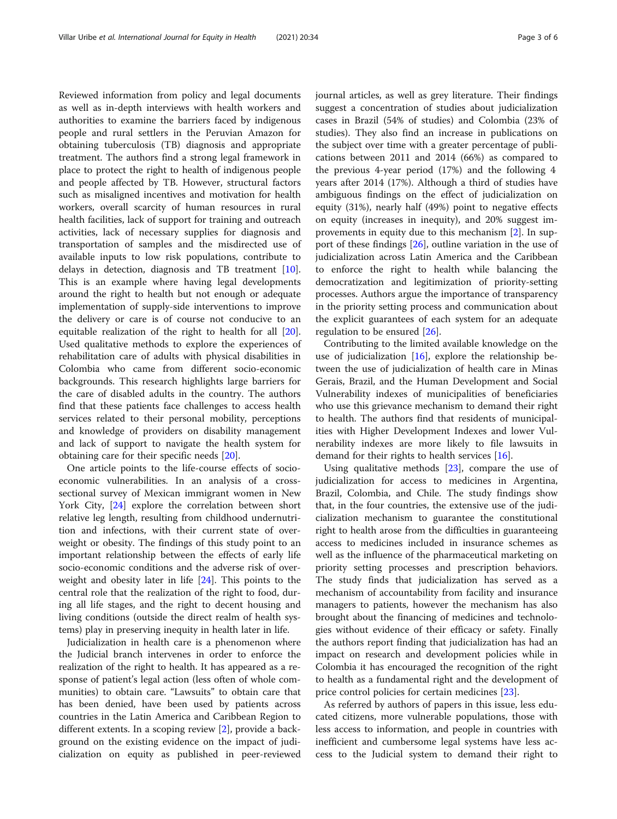Reviewed information from policy and legal documents as well as in-depth interviews with health workers and authorities to examine the barriers faced by indigenous people and rural settlers in the Peruvian Amazon for obtaining tuberculosis (TB) diagnosis and appropriate treatment. The authors find a strong legal framework in place to protect the right to health of indigenous people and people affected by TB. However, structural factors such as misaligned incentives and motivation for health workers, overall scarcity of human resources in rural health facilities, lack of support for training and outreach activities, lack of necessary supplies for diagnosis and transportation of samples and the misdirected use of available inputs to low risk populations, contribute to delays in detection, diagnosis and TB treatment [\[10](#page-5-0)]. This is an example where having legal developments around the right to health but not enough or adequate implementation of supply-side interventions to improve the delivery or care is of course not conducive to an equitable realization of the right to health for all [\[20](#page-5-0)]. Used qualitative methods to explore the experiences of rehabilitation care of adults with physical disabilities in Colombia who came from different socio-economic backgrounds. This research highlights large barriers for the care of disabled adults in the country. The authors find that these patients face challenges to access health services related to their personal mobility, perceptions and knowledge of providers on disability management and lack of support to navigate the health system for obtaining care for their specific needs [[20\]](#page-5-0).

One article points to the life-course effects of socioeconomic vulnerabilities. In an analysis of a crosssectional survey of Mexican immigrant women in New York City, [\[24\]](#page-5-0) explore the correlation between short relative leg length, resulting from childhood undernutrition and infections, with their current state of overweight or obesity. The findings of this study point to an important relationship between the effects of early life socio-economic conditions and the adverse risk of overweight and obesity later in life [\[24\]](#page-5-0). This points to the central role that the realization of the right to food, during all life stages, and the right to decent housing and living conditions (outside the direct realm of health systems) play in preserving inequity in health later in life.

Judicialization in health care is a phenomenon where the Judicial branch intervenes in order to enforce the realization of the right to health. It has appeared as a response of patient's legal action (less often of whole communities) to obtain care. "Lawsuits" to obtain care that has been denied, have been used by patients across countries in the Latin America and Caribbean Region to different extents. In a scoping review [[2\]](#page-4-0), provide a background on the existing evidence on the impact of judicialization on equity as published in peer-reviewed journal articles, as well as grey literature. Their findings suggest a concentration of studies about judicialization cases in Brazil (54% of studies) and Colombia (23% of studies). They also find an increase in publications on the subject over time with a greater percentage of publications between 2011 and 2014 (66%) as compared to the previous 4-year period (17%) and the following 4 years after 2014 (17%). Although a third of studies have ambiguous findings on the effect of judicialization on equity (31%), nearly half (49%) point to negative effects on equity (increases in inequity), and 20% suggest improvements in equity due to this mechanism [\[2](#page-4-0)]. In support of these findings [[26\]](#page-5-0), outline variation in the use of judicialization across Latin America and the Caribbean to enforce the right to health while balancing the democratization and legitimization of priority-setting processes. Authors argue the importance of transparency in the priority setting process and communication about the explicit guarantees of each system for an adequate regulation to be ensured [[26\]](#page-5-0).

Contributing to the limited available knowledge on the use of judicialization  $[16]$  $[16]$ , explore the relationship between the use of judicialization of health care in Minas Gerais, Brazil, and the Human Development and Social Vulnerability indexes of municipalities of beneficiaries who use this grievance mechanism to demand their right to health. The authors find that residents of municipalities with Higher Development Indexes and lower Vulnerability indexes are more likely to file lawsuits in demand for their rights to health services [\[16](#page-5-0)].

Using qualitative methods [[23](#page-5-0)], compare the use of judicialization for access to medicines in Argentina, Brazil, Colombia, and Chile. The study findings show that, in the four countries, the extensive use of the judicialization mechanism to guarantee the constitutional right to health arose from the difficulties in guaranteeing access to medicines included in insurance schemes as well as the influence of the pharmaceutical marketing on priority setting processes and prescription behaviors. The study finds that judicialization has served as a mechanism of accountability from facility and insurance managers to patients, however the mechanism has also brought about the financing of medicines and technologies without evidence of their efficacy or safety. Finally the authors report finding that judicialization has had an impact on research and development policies while in Colombia it has encouraged the recognition of the right to health as a fundamental right and the development of price control policies for certain medicines [\[23](#page-5-0)].

As referred by authors of papers in this issue, less educated citizens, more vulnerable populations, those with less access to information, and people in countries with inefficient and cumbersome legal systems have less access to the Judicial system to demand their right to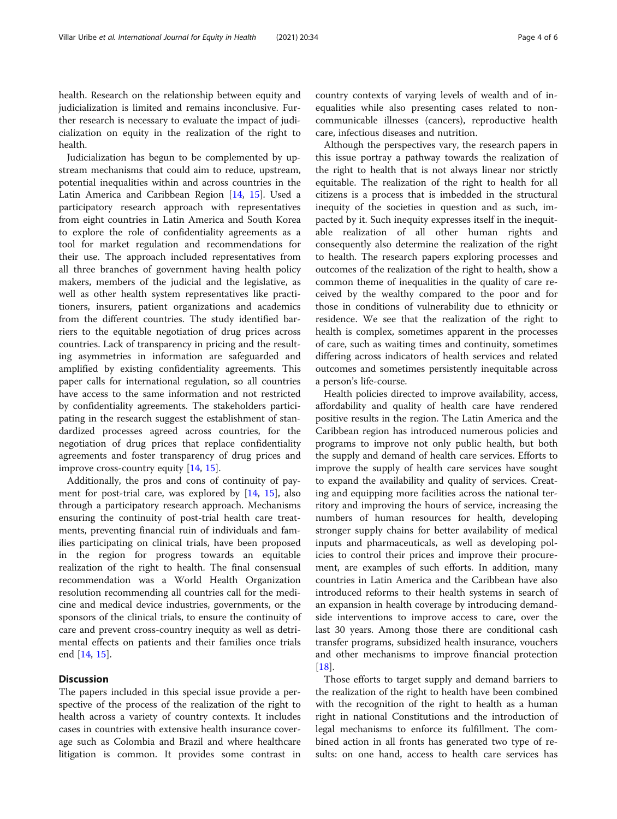health. Research on the relationship between equity and judicialization is limited and remains inconclusive. Further research is necessary to evaluate the impact of judicialization on equity in the realization of the right to health.

Judicialization has begun to be complemented by upstream mechanisms that could aim to reduce, upstream, potential inequalities within and across countries in the Latin America and Caribbean Region [\[14](#page-5-0), [15\]](#page-5-0). Used a participatory research approach with representatives from eight countries in Latin America and South Korea to explore the role of confidentiality agreements as a tool for market regulation and recommendations for their use. The approach included representatives from all three branches of government having health policy makers, members of the judicial and the legislative, as well as other health system representatives like practitioners, insurers, patient organizations and academics from the different countries. The study identified barriers to the equitable negotiation of drug prices across countries. Lack of transparency in pricing and the resulting asymmetries in information are safeguarded and amplified by existing confidentiality agreements. This paper calls for international regulation, so all countries have access to the same information and not restricted by confidentiality agreements. The stakeholders participating in the research suggest the establishment of standardized processes agreed across countries, for the negotiation of drug prices that replace confidentiality agreements and foster transparency of drug prices and improve cross-country equity [\[14](#page-5-0), [15\]](#page-5-0).

Additionally, the pros and cons of continuity of payment for post-trial care, was explored by [\[14,](#page-5-0) [15](#page-5-0)], also through a participatory research approach. Mechanisms ensuring the continuity of post-trial health care treatments, preventing financial ruin of individuals and families participating on clinical trials, have been proposed in the region for progress towards an equitable realization of the right to health. The final consensual recommendation was a World Health Organization resolution recommending all countries call for the medicine and medical device industries, governments, or the sponsors of the clinical trials, to ensure the continuity of care and prevent cross-country inequity as well as detrimental effects on patients and their families once trials end [[14,](#page-5-0) [15\]](#page-5-0).

## **Discussion**

The papers included in this special issue provide a perspective of the process of the realization of the right to health across a variety of country contexts. It includes cases in countries with extensive health insurance coverage such as Colombia and Brazil and where healthcare litigation is common. It provides some contrast in country contexts of varying levels of wealth and of inequalities while also presenting cases related to noncommunicable illnesses (cancers), reproductive health care, infectious diseases and nutrition.

Although the perspectives vary, the research papers in this issue portray a pathway towards the realization of the right to health that is not always linear nor strictly equitable. The realization of the right to health for all citizens is a process that is imbedded in the structural inequity of the societies in question and as such, impacted by it. Such inequity expresses itself in the inequitable realization of all other human rights and consequently also determine the realization of the right to health. The research papers exploring processes and outcomes of the realization of the right to health, show a common theme of inequalities in the quality of care received by the wealthy compared to the poor and for those in conditions of vulnerability due to ethnicity or residence. We see that the realization of the right to health is complex, sometimes apparent in the processes of care, such as waiting times and continuity, sometimes differing across indicators of health services and related outcomes and sometimes persistently inequitable across a person's life-course.

Health policies directed to improve availability, access, affordability and quality of health care have rendered positive results in the region. The Latin America and the Caribbean region has introduced numerous policies and programs to improve not only public health, but both the supply and demand of health care services. Efforts to improve the supply of health care services have sought to expand the availability and quality of services. Creating and equipping more facilities across the national territory and improving the hours of service, increasing the numbers of human resources for health, developing stronger supply chains for better availability of medical inputs and pharmaceuticals, as well as developing policies to control their prices and improve their procurement, are examples of such efforts. In addition, many countries in Latin America and the Caribbean have also introduced reforms to their health systems in search of an expansion in health coverage by introducing demandside interventions to improve access to care, over the last 30 years. Among those there are conditional cash transfer programs, subsidized health insurance, vouchers and other mechanisms to improve financial protection  $[18]$  $[18]$ .

Those efforts to target supply and demand barriers to the realization of the right to health have been combined with the recognition of the right to health as a human right in national Constitutions and the introduction of legal mechanisms to enforce its fulfillment. The combined action in all fronts has generated two type of results: on one hand, access to health care services has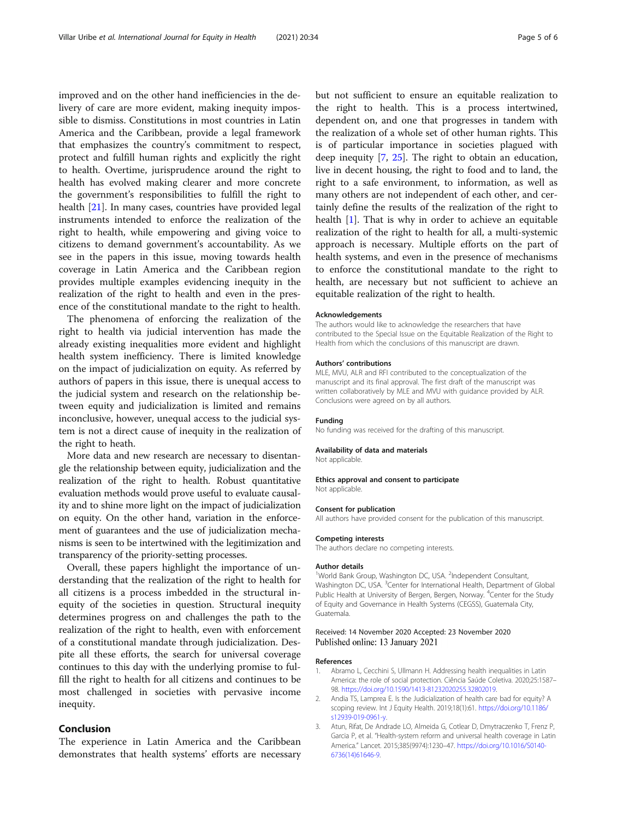<span id="page-4-0"></span>improved and on the other hand inefficiencies in the delivery of care are more evident, making inequity impossible to dismiss. Constitutions in most countries in Latin America and the Caribbean, provide a legal framework that emphasizes the country's commitment to respect, protect and fulfill human rights and explicitly the right to health. Overtime, jurisprudence around the right to health has evolved making clearer and more concrete the government's responsibilities to fulfill the right to health [\[21](#page-5-0)]. In many cases, countries have provided legal instruments intended to enforce the realization of the right to health, while empowering and giving voice to citizens to demand government's accountability. As we see in the papers in this issue, moving towards health coverage in Latin America and the Caribbean region provides multiple examples evidencing inequity in the realization of the right to health and even in the presence of the constitutional mandate to the right to health.

The phenomena of enforcing the realization of the right to health via judicial intervention has made the already existing inequalities more evident and highlight health system inefficiency. There is limited knowledge on the impact of judicialization on equity. As referred by authors of papers in this issue, there is unequal access to the judicial system and research on the relationship between equity and judicialization is limited and remains inconclusive, however, unequal access to the judicial system is not a direct cause of inequity in the realization of the right to heath.

More data and new research are necessary to disentangle the relationship between equity, judicialization and the realization of the right to health. Robust quantitative evaluation methods would prove useful to evaluate causality and to shine more light on the impact of judicialization on equity. On the other hand, variation in the enforcement of guarantees and the use of judicialization mechanisms is seen to be intertwined with the legitimization and transparency of the priority-setting processes.

Overall, these papers highlight the importance of understanding that the realization of the right to health for all citizens is a process imbedded in the structural inequity of the societies in question. Structural inequity determines progress on and challenges the path to the realization of the right to health, even with enforcement of a constitutional mandate through judicialization. Despite all these efforts, the search for universal coverage continues to this day with the underlying promise to fulfill the right to health for all citizens and continues to be most challenged in societies with pervasive income inequity.

## Conclusion

The experience in Latin America and the Caribbean demonstrates that health systems' efforts are necessary but not sufficient to ensure an equitable realization to the right to health. This is a process intertwined, dependent on, and one that progresses in tandem with the realization of a whole set of other human rights. This is of particular importance in societies plagued with deep inequity [[7,](#page-5-0) [25\]](#page-5-0). The right to obtain an education, live in decent housing, the right to food and to land, the right to a safe environment, to information, as well as many others are not independent of each other, and certainly define the results of the realization of the right to health  $[1]$ . That is why in order to achieve an equitable realization of the right to health for all, a multi-systemic approach is necessary. Multiple efforts on the part of health systems, and even in the presence of mechanisms to enforce the constitutional mandate to the right to health, are necessary but not sufficient to achieve an equitable realization of the right to health.

#### Acknowledgements

The authors would like to acknowledge the researchers that have contributed to the Special Issue on the Equitable Realization of the Right to Health from which the conclusions of this manuscript are drawn.

#### Authors' contributions

MLE, MVU, ALR and RFI contributed to the conceptualization of the manuscript and its final approval. The first draft of the manuscript was written collaboratively by MLE and MVU with guidance provided by ALR. Conclusions were agreed on by all authors.

#### Funding

No funding was received for the drafting of this manuscript.

#### Availability of data and materials

Not applicable.

Ethics approval and consent to participate Not applicable.

#### Consent for publication

All authors have provided consent for the publication of this manuscript.

#### Competing interests

The authors declare no competing interests.

#### Author details

<sup>1</sup>World Bank Group, Washington DC, USA. <sup>2</sup>Independent Consultant, Washington DC, USA. <sup>3</sup>Center for International Health, Department of Global Public Health at University of Bergen, Bergen, Norway. <sup>4</sup>Center for the Study of Equity and Governance in Health Systems (CEGSS), Guatemala City, Guatemala.

### Received: 14 November 2020 Accepted: 23 November 2020 Published online: 13 January 2021

#### References

- 1. Abramo L, Cecchini S, Ullmann H. Addressing health inequalities in Latin America: the role of social protection. Ciência Saúde Coletiva. 2020;25:1587– 98. [https://doi.org/10.1590/1413-81232020255.32802019.](https://doi.org/10.1590/1413-81232020255.32802019)
- 2. Andia TS, Lamprea E. Is the Judicialization of health care bad for equity? A scoping review. Int J Equity Health. 2019;18(1):61. [https://doi.org/10.1186/](https://doi.org/10.1186/s12939-019-0961-y) [s12939-019-0961-y.](https://doi.org/10.1186/s12939-019-0961-y)
- 3. Atun, Rifat, De Andrade LO, Almeida G, Cotlear D, Dmytraczenko T, Frenz P, Garcia P, et al. "Health-system reform and universal health coverage in Latin America." Lancet. 2015;385(9974):1230–47. [https://doi.org/10.1016/S0140-](https://doi.org/10.1016/S0140-6736(14)61646-9) [6736\(14\)61646-9](https://doi.org/10.1016/S0140-6736(14)61646-9).